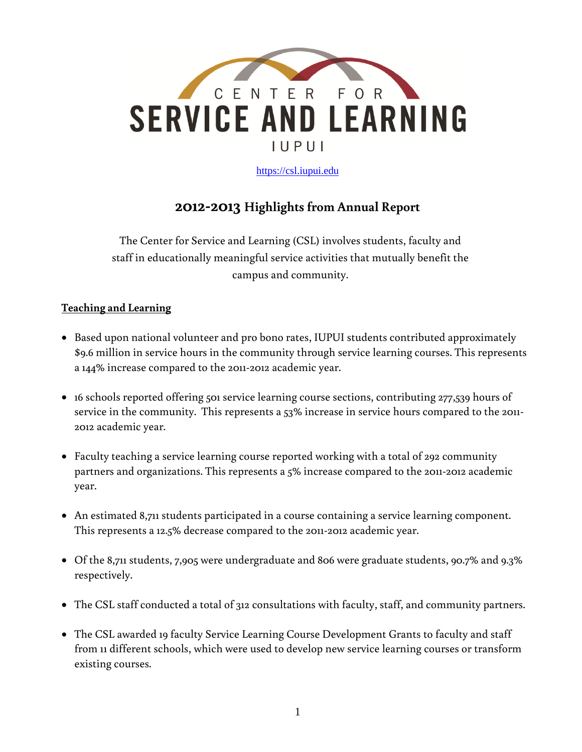

[https://csl.iupui.edu](https://csl.iupui.edu/)

# **2012-2013 Highlights from Annual Report**

The Center for Service and Learning (CSL) involves students, faculty and staff in educationally meaningful service activities that mutually benefit the campus and community.

#### **Teaching and Learning**

- Based upon national volunteer and pro bono rates, IUPUI students contributed approximately \$9.6 million in service hours in the community through service learning courses. This represents a 144% increase compared to the 2011-2012 academic year.
- 16 schools reported offering 501 service learning course sections, contributing 277,539 hours of service in the community. This represents a 53% increase in service hours compared to the 2011- 2012 academic year.
- Faculty teaching a service learning course reported working with a total of 292 community partners and organizations. This represents a 5% increase compared to the 2011-2012 academic year.
- An estimated 8,711 students participated in a course containing a service learning component. This represents a 12.5% decrease compared to the 2011-2012 academic year.
- Of the 8,711 students, 7,905 were undergraduate and 806 were graduate students, 90.7% and 9.3% respectively.
- The CSL staff conducted a total of 312 consultations with faculty, staff, and community partners.
- The CSL awarded 19 faculty Service Learning Course Development Grants to faculty and staff from 11 different schools, which were used to develop new service learning courses or transform existing courses.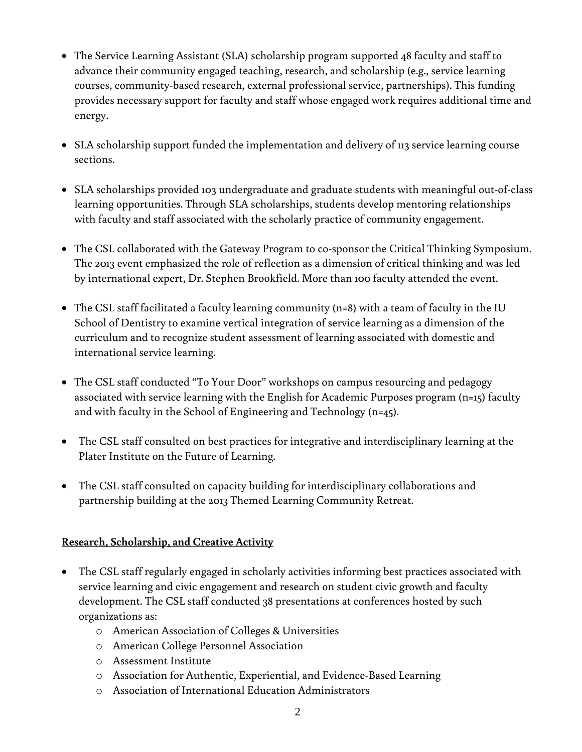- The Service Learning Assistant (SLA) scholarship program supported 48 faculty and staff to advance their community engaged teaching, research, and scholarship (e.g., service learning courses, community-based research, external professional service, partnerships). This funding provides necessary support for faculty and staff whose engaged work requires additional time and energy.
- SLA scholarship support funded the implementation and delivery of 113 service learning course sections.
- SLA scholarships provided 103 undergraduate and graduate students with meaningful out-of-class learning opportunities. Through SLA scholarships, students develop mentoring relationships with faculty and staff associated with the scholarly practice of community engagement.
- The CSL collaborated with the Gateway Program to co-sponsor the Critical Thinking Symposium. The 2013 event emphasized the role of reflection as a dimension of critical thinking and was led by international expert, Dr. Stephen Brookfield. More than 100 faculty attended the event.
- The CSL staff facilitated a faculty learning community (n=8) with a team of faculty in the IU School of Dentistry to examine vertical integration of service learning as a dimension of the curriculum and to recognize student assessment of learning associated with domestic and international service learning.
- The CSL staff conducted "To Your Door" workshops on campus resourcing and pedagogy associated with service learning with the English for Academic Purposes program (n=15) faculty and with faculty in the School of Engineering and Technology (n=45).
- The CSL staff consulted on best practices for integrative and interdisciplinary learning at the Plater Institute on the Future of Learning.
- The CSL staff consulted on capacity building for interdisciplinary collaborations and partnership building at the 2013 Themed Learning Community Retreat.

## **Research, Scholarship, and Creative Activity**

- The CSL staff regularly engaged in scholarly activities informing best practices associated with service learning and civic engagement and research on student civic growth and faculty development. The CSL staff conducted 38 presentations at conferences hosted by such organizations as:
	- o American Association of Colleges & Universities
	- o American College Personnel Association
	- o Assessment Institute
	- o Association for Authentic, Experiential, and Evidence-Based Learning
	- o Association of International Education Administrators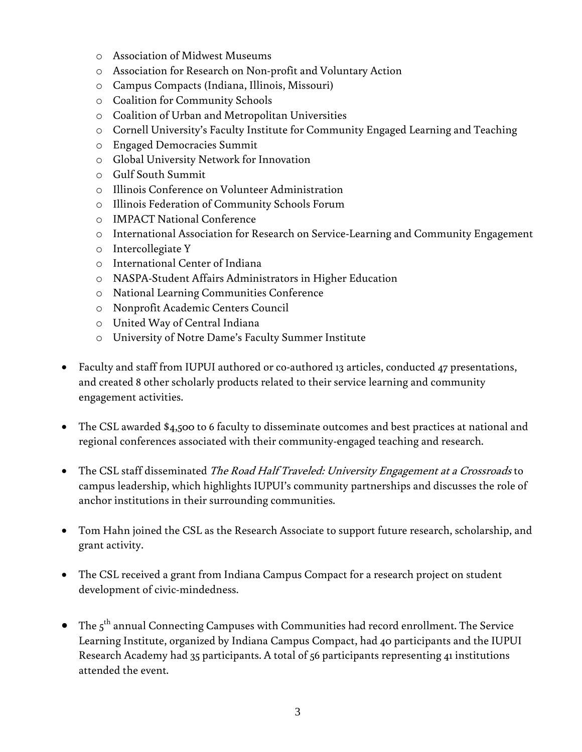- o Association of Midwest Museums
- o Association for Research on Non-profit and Voluntary Action
- o Campus Compacts (Indiana, Illinois, Missouri)
- o Coalition for Community Schools
- o Coalition of Urban and Metropolitan Universities
- o Cornell University's Faculty Institute for Community Engaged Learning and Teaching
- o Engaged Democracies Summit
- o Global University Network for Innovation
- o Gulf South Summit
- o Illinois Conference on Volunteer Administration
- o Illinois Federation of Community Schools Forum
- o IMPACT National Conference
- o International Association for Research on Service-Learning and Community Engagement
- o Intercollegiate Y
- o International Center of Indiana
- o NASPA-Student Affairs Administrators in Higher Education
- o National Learning Communities Conference
- o Nonprofit Academic Centers Council
- o United Way of Central Indiana
- o University of Notre Dame's Faculty Summer Institute
- Faculty and staff from IUPUI authored or co-authored 13 articles, conducted 47 presentations, and created 8 other scholarly products related to their service learning and community engagement activities.
- The CSL awarded \$4,500 to 6 faculty to disseminate outcomes and best practices at national and regional conferences associated with their community-engaged teaching and research.
- The CSL staff disseminated The Road Half Traveled: University Engagement at a Crossroads to campus leadership, which highlights IUPUI's community partnerships and discusses the role of anchor institutions in their surrounding communities.
- Tom Hahn joined the CSL as the Research Associate to support future research, scholarship, and grant activity.
- The CSL received a grant from Indiana Campus Compact for a research project on student development of civic-mindedness.
- $\bullet$  The  $5^{\text{th}}$  annual Connecting Campuses with Communities had record enrollment. The Service Learning Institute, organized by Indiana Campus Compact, had 40 participants and the IUPUI Research Academy had 35 participants. A total of 56 participants representing 41 institutions attended the event.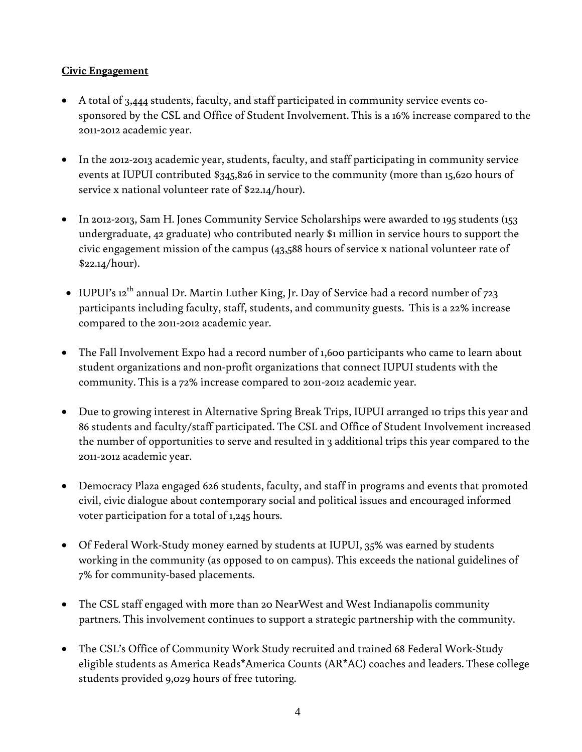#### **Civic Engagement**

- A total of 3,444 students, faculty, and staff participated in community service events cosponsored by the CSL and Office of Student Involvement. This is a 16% increase compared to the 2011-2012 academic year.
- In the 2012-2013 academic year, students, faculty, and staff participating in community service events at IUPUI contributed \$345,826 in service to the community (more than 15,620 hours of service x national volunteer rate of \$22.14/hour).
- In 2012-2013, Sam H. Jones Community Service Scholarships were awarded to 195 students (153 undergraduate, 42 graduate) who contributed nearly \$1 million in service hours to support the civic engagement mission of the campus (43,588 hours of service x national volunteer rate of \$22.14/hour).
- $\bullet~$  IUPUI's 12<sup>th</sup> annual Dr. Martin Luther King, Jr. Day of Service had a record number of 723 participants including faculty, staff, students, and community guests. This is a 22% increase compared to the 2011-2012 academic year.
- The Fall Involvement Expo had a record number of 1,600 participants who came to learn about student organizations and non-profit organizations that connect IUPUI students with the community. This is a 72% increase compared to 2011-2012 academic year.
- Due to growing interest in Alternative Spring Break Trips, IUPUI arranged 10 trips this year and 86 students and faculty/staff participated. The CSL and Office of Student Involvement increased the number of opportunities to serve and resulted in 3 additional trips this year compared to the 2011-2012 academic year.
- Democracy Plaza engaged 626 students, faculty, and staff in programs and events that promoted civil, civic dialogue about contemporary social and political issues and encouraged informed voter participation for a total of 1,245 hours.
- Of Federal Work-Study money earned by students at IUPUI, 35% was earned by students working in the community (as opposed to on campus). This exceeds the national guidelines of 7% for community-based placements.
- The CSL staff engaged with more than 20 NearWest and West Indianapolis community partners. This involvement continues to support a strategic partnership with the community.
- The CSL's Office of Community Work Study recruited and trained 68 Federal Work-Study eligible students as America Reads\*America Counts (AR\*AC) coaches and leaders. These college students provided 9,029 hours of free tutoring.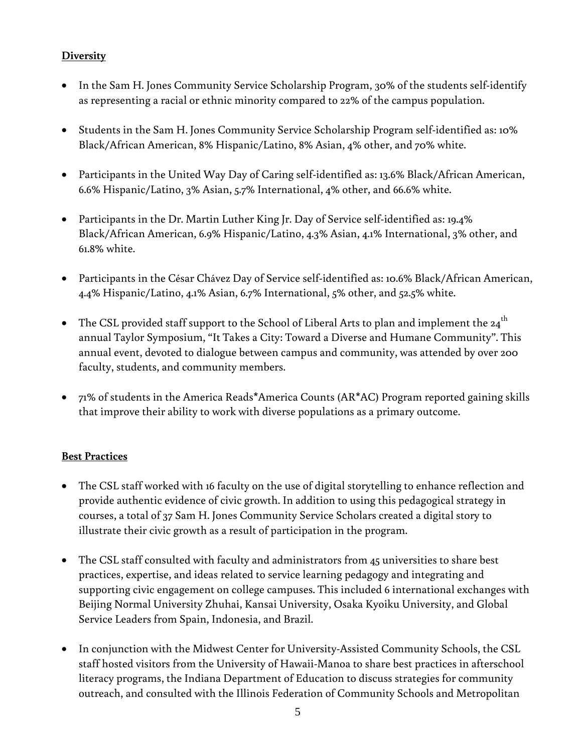## **Diversity**

- In the Sam H. Jones Community Service Scholarship Program, 30% of the students self-identify as representing a racial or ethnic minority compared to 22% of the campus population.
- Students in the Sam H. Jones Community Service Scholarship Program self-identified as: 10% Black/African American, 8% Hispanic/Latino, 8% Asian, 4% other, and 70% white.
- Participants in the United Way Day of Caring self-identified as: 13.6% Black/African American, 6.6% Hispanic/Latino, 3% Asian, 5.7% International, 4% other, and 66.6% white.
- Participants in the Dr. Martin Luther King Jr. Day of Service self-identified as: 19.4% Black/African American, 6.9% Hispanic/Latino, 4.3% Asian, 4.1% International, 3% other, and 61.8% white.
- Participants in the César Chávez Day of Service self-identified as: 10.6% Black/African American, 4.4% Hispanic/Latino, 4.1% Asian, 6.7% International, 5% other, and 52.5% white.
- The CSL provided staff support to the School of Liberal Arts to plan and implement the  $24^{\text{th}}$ annual Taylor Symposium, "It Takes a City: Toward a Diverse and Humane Community". This annual event, devoted to dialogue between campus and community, was attended by over 200 faculty, students, and community members.
- 71% of students in the America Reads\*America Counts (AR\*AC) Program reported gaining skills that improve their ability to work with diverse populations as a primary outcome.

# **Best Practices**

- The CSL staff worked with 16 faculty on the use of digital storytelling to enhance reflection and provide authentic evidence of civic growth. In addition to using this pedagogical strategy in courses, a total of 37 Sam H. Jones Community Service Scholars created a digital story to illustrate their civic growth as a result of participation in the program.
- The CSL staff consulted with faculty and administrators from 45 universities to share best practices, expertise, and ideas related to service learning pedagogy and integrating and supporting civic engagement on college campuses. This included 6 international exchanges with Beijing Normal University Zhuhai, Kansai University, Osaka Kyoiku University, and Global Service Leaders from Spain, Indonesia, and Brazil.
- In conjunction with the Midwest Center for University-Assisted Community Schools, the CSL staff hosted visitors from the University of Hawaii-Manoa to share best practices in afterschool literacy programs, the Indiana Department of Education to discuss strategies for community outreach, and consulted with the Illinois Federation of Community Schools and Metropolitan